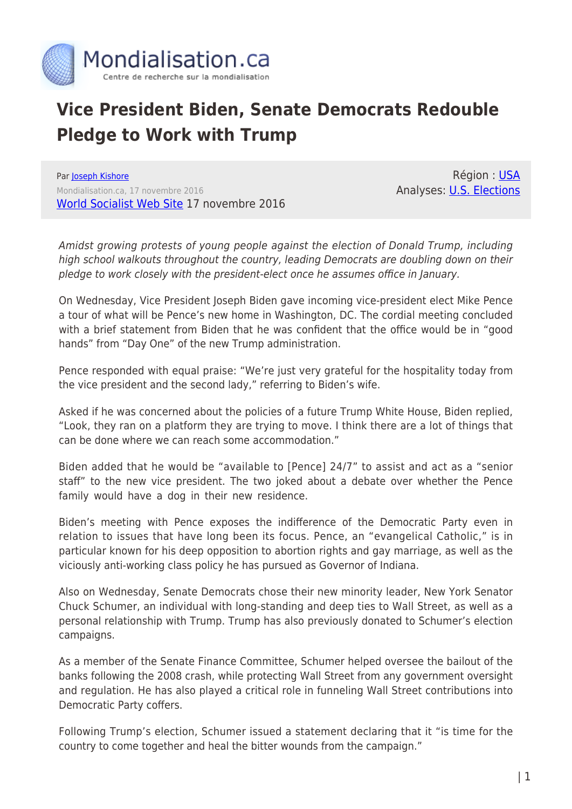

## **Vice President Biden, Senate Democrats Redouble Pledge to Work with Trump**

Par [Joseph Kishore](https://www.mondialisation.ca/author/joseph-kishore) Mondialisation.ca, 17 novembre 2016 [World Socialist Web Site](http://www.wsws.org/en/articles/2016/11/17/dems-n17.html) 17 novembre 2016

Région : [USA](https://www.mondialisation.ca/region/usa) Analyses: [U.S. Elections](https://www.mondialisation.ca/indepthreport/u-s-elections)

Amidst growing protests of young people against the election of Donald Trump, including high school walkouts throughout the country, leading Democrats are doubling down on their pledge to work closely with the president-elect once he assumes office in January.

On Wednesday, Vice President Joseph Biden gave incoming vice-president elect Mike Pence a tour of what will be Pence's new home in Washington, DC. The cordial meeting concluded with a brief statement from Biden that he was confident that the office would be in "good hands" from "Day One" of the new Trump administration.

Pence responded with equal praise: "We're just very grateful for the hospitality today from the vice president and the second lady," referring to Biden's wife.

Asked if he was concerned about the policies of a future Trump White House, Biden replied, "Look, they ran on a platform they are trying to move. I think there are a lot of things that can be done where we can reach some accommodation."

Biden added that he would be "available to [Pence] 24/7" to assist and act as a "senior staff" to the new vice president. The two joked about a debate over whether the Pence family would have a dog in their new residence.

Biden's meeting with Pence exposes the indifference of the Democratic Party even in relation to issues that have long been its focus. Pence, an "evangelical Catholic," is in particular known for his deep opposition to abortion rights and gay marriage, as well as the viciously anti-working class policy he has pursued as Governor of Indiana.

Also on Wednesday, Senate Democrats chose their new minority leader, New York Senator Chuck Schumer, an individual with long-standing and deep ties to Wall Street, as well as a personal relationship with Trump. Trump has also previously donated to Schumer's election campaigns.

As a member of the Senate Finance Committee, Schumer helped oversee the bailout of the banks following the 2008 crash, while protecting Wall Street from any government oversight and regulation. He has also played a critical role in funneling Wall Street contributions into Democratic Party coffers.

Following Trump's election, Schumer issued a statement declaring that it "is time for the country to come together and heal the bitter wounds from the campaign."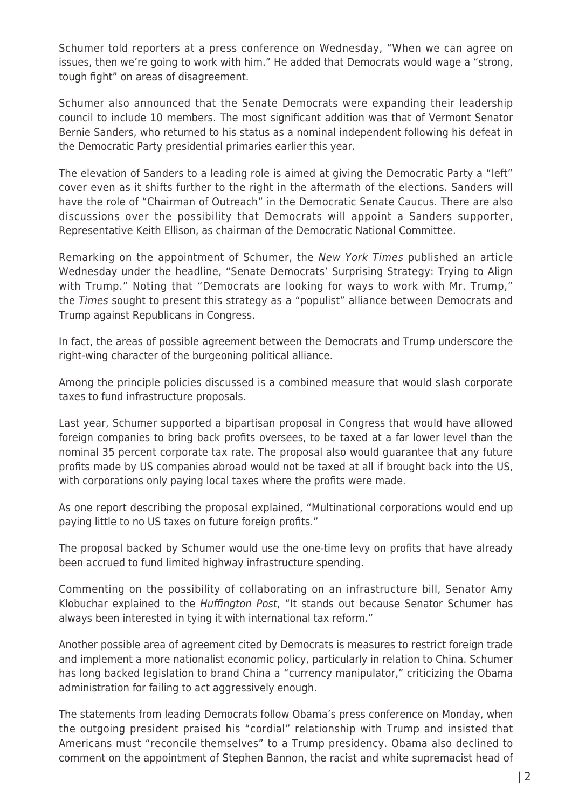Schumer told reporters at a press conference on Wednesday, "When we can agree on issues, then we're going to work with him." He added that Democrats would wage a "strong, tough fight" on areas of disagreement.

Schumer also announced that the Senate Democrats were expanding their leadership council to include 10 members. The most significant addition was that of Vermont Senator Bernie Sanders, who returned to his status as a nominal independent following his defeat in the Democratic Party presidential primaries earlier this year.

The elevation of Sanders to a leading role is aimed at giving the Democratic Party a "left" cover even as it shifts further to the right in the aftermath of the elections. Sanders will have the role of "Chairman of Outreach" in the Democratic Senate Caucus. There are also discussions over the possibility that Democrats will appoint a Sanders supporter, Representative Keith Ellison, as chairman of the Democratic National Committee.

Remarking on the appointment of Schumer, the New York Times published an article Wednesday under the headline, "Senate Democrats' Surprising Strategy: Trying to Align with Trump." Noting that "Democrats are looking for ways to work with Mr. Trump," the Times sought to present this strategy as a "populist" alliance between Democrats and Trump against Republicans in Congress.

In fact, the areas of possible agreement between the Democrats and Trump underscore the right-wing character of the burgeoning political alliance.

Among the principle policies discussed is a combined measure that would slash corporate taxes to fund infrastructure proposals.

Last year, Schumer supported a bipartisan proposal in Congress that would have allowed foreign companies to bring back profits oversees, to be taxed at a far lower level than the nominal 35 percent corporate tax rate. The proposal also would guarantee that any future profits made by US companies abroad would not be taxed at all if brought back into the US, with corporations only paying local taxes where the profits were made.

As one report describing the proposal explained, "Multinational corporations would end up paying little to no US taxes on future foreign profits."

The proposal backed by Schumer would use the one-time levy on profits that have already been accrued to fund limited highway infrastructure spending.

Commenting on the possibility of collaborating on an infrastructure bill, Senator Amy Klobuchar explained to the Huffington Post, "It stands out because Senator Schumer has always been interested in tying it with international tax reform."

Another possible area of agreement cited by Democrats is measures to restrict foreign trade and implement a more nationalist economic policy, particularly in relation to China. Schumer has long backed legislation to brand China a "currency manipulator," criticizing the Obama administration for failing to act aggressively enough.

The statements from leading Democrats follow Obama's press conference on Monday, when the outgoing president praised his "cordial" relationship with Trump and insisted that Americans must "reconcile themselves" to a Trump presidency. Obama also declined to comment on the appointment of Stephen Bannon, the racist and white supremacist head of